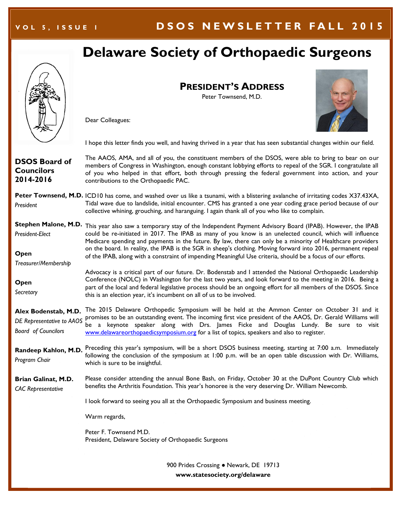### **V O L 5 , I S S U E 1 D S O S N E W S L E T T E R F A L L 201 5**

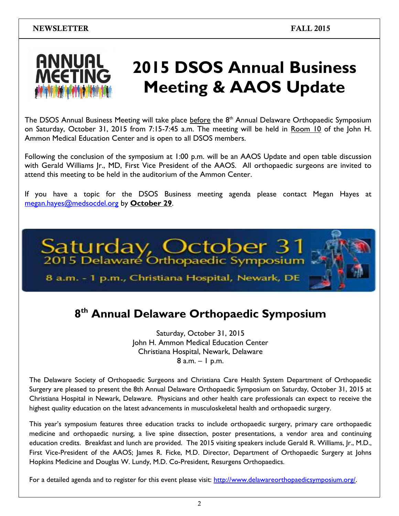

# **2015 DSOS Annual Business Meeting & AAOS Update**

The DSOS Annual Business Meeting will take place before the 8<sup>th</sup> Annual Delaware Orthopaedic Symposium on Saturday, October 31, 2015 from 7:15-7:45 a.m. The meeting will be held in Room 10 of the John H. Ammon Medical Education Center and is open to all DSOS members.

Following the conclusion of the symposium at 1:00 p.m. will be an AAOS Update and open table discussion with Gerald Williams Jr., MD, First Vice President of the AAOS. All orthopaedic surgeons are invited to attend this meeting to be held in the auditorium of the Ammon Center.

If you have a topic for the DSOS Business meeting agenda please contact Megan Hayes at [megan.hayes@medsocdel.org](mailto:megan.hayes@medsocdel.org) by **October 29**.



# **8 th Annual Delaware Orthopaedic Symposium**

Saturday, October 31, 2015 John H. Ammon Medical Education Center Christiana Hospital, Newark, Delaware  $8$  a.m.  $-1$  p.m.

The Delaware Society of Orthopaedic Surgeons and Christiana Care Health System Department of Orthopaedic Surgery are pleased to present the 8th Annual Delaware Orthopaedic Symposium on Saturday, October 31, 2015 at Christiana Hospital in Newark, Delaware. Physicians and other health care professionals can expect to receive the highest quality education on the latest advancements in musculoskeletal health and orthopaedic surgery.

This year's symposium features three education tracks to include orthopaedic surgery, primary care orthopaedic medicine and orthopaedic nursing, a live spine dissection, poster presentations, a vendor area and continuing education credits. Breakfast and lunch are provided. The 2015 visiting speakers include Gerald R. Williams, Jr., M.D., First Vice-President of the AAOS; James R. Ficke, M.D. Director, Department of Orthopaedic Surgery at Johns Hopkins Medicine and Douglas W. Lundy, M.D. Co-President, Resurgens Orthopaedics.

For a detailed agenda and to register for this event please visit: [http://www.delawareorthopaedicsymposium.org/.](http://www.delawareorthopaedicsymposium.org/)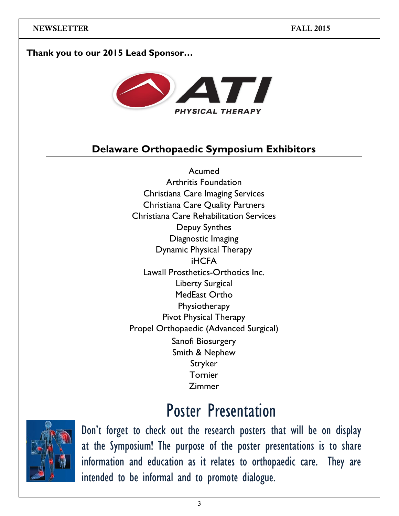### **Thank you to our 2015 Lead Sponsor…**



## **Delaware Orthopaedic Symposium Exhibitors**

Acumed Arthritis Foundation Christiana Care Imaging Services Christiana Care Quality Partners Christiana Care Rehabilitation Services Depuy Synthes Diagnostic Imaging Dynamic Physical Therapy iHCFA Lawall Prosthetics-Orthotics Inc. Liberty Surgical MedEast Ortho **Physiotherapy** Pivot Physical Therapy Propel Orthopaedic (Advanced Surgical) Sanofi Biosurgery Smith & Nephew Stryker Tornier Zimmer

# Poster Presentation



Don't forget to check out the research posters that will be on display at the Symposium! The purpose of the poster presentations is to share information and education as it relates to orthopaedic care. They are intended to be informal and to promote dialogue.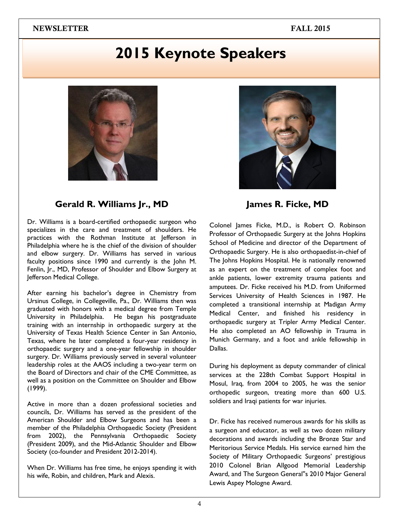# **2015 Keynote Speakers**





### **Gerald R. Williams Jr., MD**

Dr. Williams is a board-certified orthopaedic surgeon who specializes in the care and treatment of shoulders. He practices with the Rothman Institute at Jefferson in Philadelphia where he is the chief of the division of shoulder and elbow surgery. Dr. Williams has served in various faculty positions since 1990 and currently is the John M. Fenlin, Jr., MD, Professor of Shoulder and Elbow Surgery at Jefferson Medical College.

After earning his bachelor's degree in Chemistry from Ursinus College, in Collegeville, Pa., Dr. Williams then was graduated with honors with a medical degree from Temple University in Philadelphia. He began his postgraduate training with an internship in orthopaedic surgery at the University of Texas Health Science Center in San Antonio, Texas, where he later completed a four-year residency in orthopaedic surgery and a one-year fellowship in shoulder surgery. Dr. Williams previously served in several volunteer leadership roles at the AAOS including a two-year term on the Board of Directors and chair of the CME Committee, as well as a position on the Committee on Shoulder and Elbow (1999).

Active in more than a dozen professional societies and councils, Dr. Williams has served as the president of the American Shoulder and Elbow Surgeons and has been a member of the Philadelphia Orthopaedic Society (President from 2002), the Pennsylvania Orthopaedic Society (President 2009), and the Mid-Atlantic Shoulder and Elbow Society (co-founder and President 2012-2014).

When Dr. Williams has free time, he enjoys spending it with his wife, Robin, and children, Mark and Alexis.

**James R. Ficke, MD**

Colonel James Ficke, M.D., is Robert O. Robinson Professor of Orthopaedic Surgery at the Johns Hopkins School of Medicine and director of the Department of Orthopaedic Surgery. He is also orthopaedist-in-chief of The Johns Hopkins Hospital. He is nationally renowned as an expert on the treatment of complex foot and ankle patients, lower extremity trauma patients and amputees. Dr. Ficke received his M.D. from Uniformed Services University of Health Sciences in 1987. He completed a transitional internship at Madigan Army Medical Center, and finished his residency in orthopaedic surgery at Tripler Army Medical Center. He also completed an AO fellowship in Trauma in Munich Germany, and a foot and ankle fellowship in Dallas.

During his deployment as deputy commander of clinical services at the 228th Combat Support Hospital in Mosul, Iraq, from 2004 to 2005, he was the senior orthopedic surgeon, treating more than 600 U.S. soldiers and Iraqi patients for war injuries.

Dr. Ficke has received numerous awards for his skills as a surgeon and educator, as well as two dozen military decorations and awards including the Bronze Star and Meritorious Service Medals. His service earned him the Society of Military Orthopaedic Surgeons' prestigious 2010 Colonel Brian Allgood Memorial Leadership Award, and The Surgeon General''s 2010 Major General Lewis Aspey Mologne Award.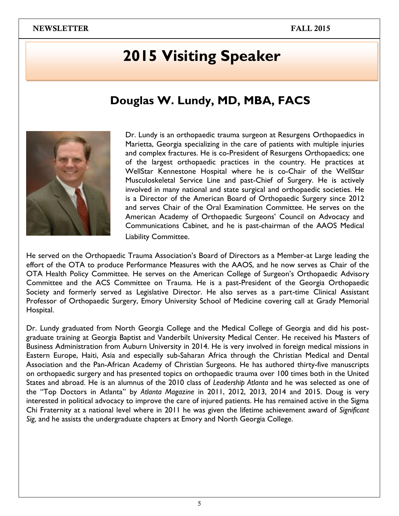# **2015 Visiting Speaker**

## **Douglas W. Lundy, MD, MBA, FACS**



Dr. Lundy is an orthopaedic trauma surgeon at Resurgens Orthopaedics in Marietta, Georgia specializing in the care of patients with multiple injuries and complex fractures. He is co-President of Resurgens Orthopaedics; one of the largest orthopaedic practices in the country. He practices at WellStar Kennestone Hospital where he is co-Chair of the WellStar Musculoskeletal Service Line and past-Chief of Surgery. He is actively involved in many national and state surgical and orthopaedic societies. He is a Director of the American Board of Orthopaedic Surgery since 2012 and serves Chair of the Oral Examination Committee. He serves on the American Academy of Orthopaedic Surgeons' Council on Advocacy and Communications Cabinet, and he is past-chairman of the AAOS Medical Liability Committee.

He served on the Orthopaedic Trauma Association's Board of Directors as a Member-at Large leading the effort of the OTA to produce Performance Measures with the AAOS, and he now serves as Chair of the OTA Health Policy Committee. He serves on the American College of Surgeon's Orthopaedic Advisory Committee and the ACS Committee on Trauma. He is a past-President of the Georgia Orthopaedic Society and formerly served as Legislative Director. He also serves as a part-time Clinical Assistant Professor of Orthopaedic Surgery, Emory University School of Medicine covering call at Grady Memorial Hospital.

Dr. Lundy graduated from North Georgia College and the Medical College of Georgia and did his postgraduate training at Georgia Baptist and Vanderbilt University Medical Center. He received his Masters of Business Administration from Auburn University in 2014. He is very involved in foreign medical missions in Eastern Europe, Haiti, Asia and especially sub-Saharan Africa through the Christian Medical and Dental Association and the Pan-African Academy of Christian Surgeons. He has authored thirty-five manuscripts on orthopaedic surgery and has presented topics on orthopaedic trauma over 100 times both in the United States and abroad. He is an alumnus of the 2010 class of *Leadership Atlanta* and he was selected as one of the ―Top Doctors in Atlanta‖ by *Atlanta Magazine* in 2011, 2012, 2013, 2014 and 2015. Doug is very interested in political advocacy to improve the care of injured patients. He has remained active in the Sigma Chi Fraternity at a national level where in 2011 he was given the lifetime achievement award of *Significant Sig,* and he assists the undergraduate chapters at Emory and North Georgia College.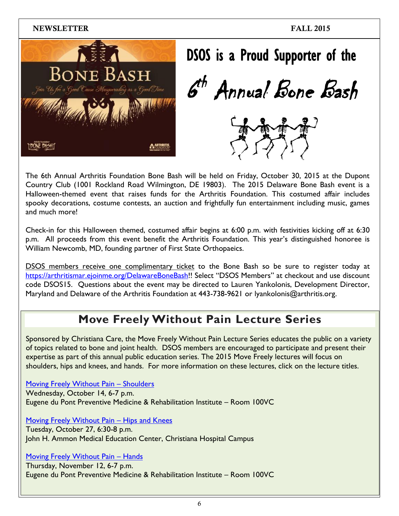

| DSOS is a Proud Supporter of the |
|----------------------------------|
| 6 <sup>th</sup> Annual Bone Bash |
|                                  |

The 6th Annual Arthritis Foundation Bone Bash will be held on Friday, October 30, 2015 at the Dupont Country Club (1001 Rockland Road Wilmington, DE 19803). The 2015 Delaware Bone Bash event is a Halloween-themed event that raises funds for the Arthritis Foundation. This costumed affair includes spooky decorations, costume contests, an auction and frightfully fun entertainment including music, games and much more!

Check-in for this Halloween themed, costumed affair begins at 6:00 p.m. with festivities kicking off at 6:30 p.m. All proceeds from this event benefit the Arthritis Foundation. This year's distinguished honoree is William Newcomb, MD, founding partner of First State Orthopaeics.

DSOS members receive one complimentary ticket to the Bone Bash so be sure to register today at [https://arthritismar.ejoinme.org/DelawareBoneBash!](https://arthritismar.ejoinme.org/DelawareBoneBash)! Select "DSOS Members" at checkout and use discount code DSOS15. Questions about the event may be directed to Lauren Yankolonis, Development Director, Maryland and Delaware of the Arthritis Foundation at 443-738-9621 or lyankolonis@arthritis.org.

## **Move Freely Without Pain Lecture Series**

Sponsored by Christiana Care, the Move Freely Without Pain Lecture Series educates the public on a variety of topics related to bone and joint health. DSOS members are encouraged to participate and present their expertise as part of this annual public education series. The 2015 Move Freely lectures will focus on shoulders, hips and knees, and hands. For more information on these lectures, click on the lecture titles.

[Moving Freely Without Pain](http://events.christianacare.org/event/moving-freely-without-pain-shoulders/) – Shoulders Wednesday, October 14, 6-7 p.m. Eugene du Pont Preventive Medicine & Rehabilitation Institute – Room 100VC

[Moving Freely Without Pain](http://events.christianacare.org/event/moving-freely-without-pain/) – Hips and Knees Tuesday, October 27, 6:30-8 p.m. John H. Ammon Medical Education Center, Christiana Hospital Campus

[Moving Freely Without Pain](http://events.christianacare.org/event/moving-freely-without-pain-hands/) – Hands

Thursday, November 12, 6-7 p.m. Eugene du Pont Preventive Medicine & Rehabilitation Institute – Room 100VC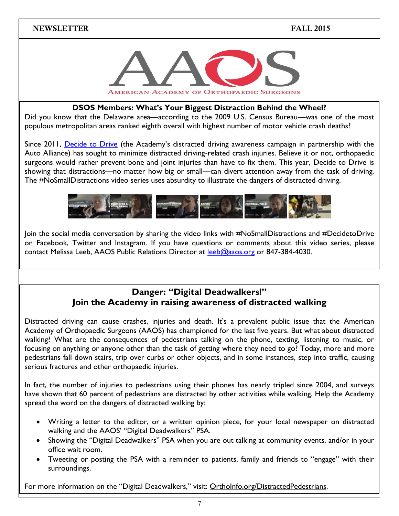

### **DSOS Members: What's Your Biggest Distraction Behind the Wheel?**

Did you know that the Delaware area—according to the 2009 U.S. Census Bureau—was one of the most populous metropolitan areas ranked eighth overall with highest number of motor vehicle crash deaths?

Since 2011, [Decide to Drive](http://www.decidetodrive.org/) (the Academy's distracted driving awareness campaign in partnership with the Auto Alliance) has sought to minimize distracted driving-related crash injuries. Believe it or not, orthopaedic surgeons would rather prevent bone and joint injuries than have to fix them. This year, Decide to Drive is showing that distractions—no matter how big or small—can divert attention away from the task of driving. The #NoSmallDistractions video series uses absurdity to illustrate the dangers of distracted driving.



Join the social media conversation by sharing the video links with #NoSmallDistractions and #DecidetoDrive on Facebook, Twitter and Instagram. If you have questions or comments about this video series, please contact Melissa Leeb, AAOS Public Relations Director at [leeb@aaos.org](mailto:leeb@aaos.org) or 847-384-4030.

### **Danger: "Digital Deadwalkers!" Join the Academy in raising awareness of distracted walking**

[Distracted driving](http://www.decidetodrive.org/) can cause crashes, injuries and death. It's a prevalent public issue that the American [Academy of Orthopaedic Surgeons](http://www.aaos.org/) (AAOS) has championed for the last five years. But what about distracted walking? What are the consequences of pedestrians talking on the phone, texting, listening to music, or focusing on anything or anyone other than the task of getting where they need to go? Today, more and more pedestrians fall down stairs, trip over curbs or other objects, and in some instances, step into traffic, causing serious fractures and other orthopaedic injuries.

In fact, the number of injuries to pedestrians using their phones has nearly tripled since 2004, and surveys have shown that 60 percent of pedestrians are distracted by other activities while walking. Help the Academy spread the word on the dangers of distracted walking by:

- Writing a letter to the editor, or a written opinion piece, for your local newspaper on distracted walking and the AAOS' "Digital Deadwalkers" PSA.
- Showing the "Digital Deadwalkers" PSA when you are out talking at community events, and/or in your office wait room.
- Tweeting or posting the PSA with a reminder to patients, family and friends to "engage" with their surroundings.

For more information on the "Digital Deadwalkers," visit: [OrthoInfo.org/DistractedPedestrians.](http://www.orthoinfo.org/distractedpedestrians)